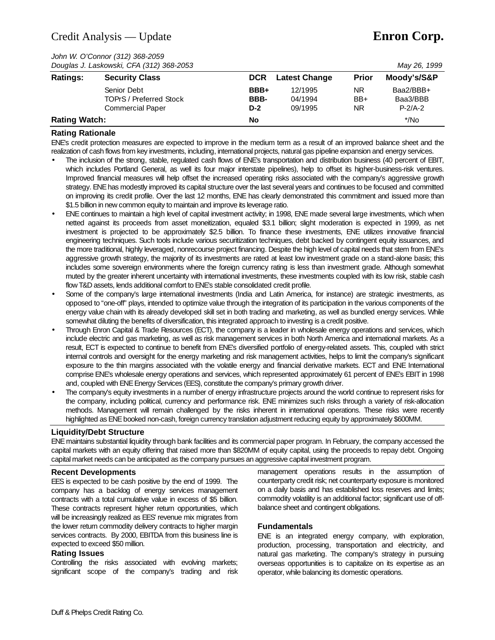# Credit Analysis — Update **Enron Corp.**

*John W. O'Connor (312) 368-2059*

|                      | Douglas J. Laskowski, CFA (312) 368-2053 |            |                      |              | May 26, 1999 |
|----------------------|------------------------------------------|------------|----------------------|--------------|--------------|
| <b>Ratings:</b>      | <b>Security Class</b>                    | <b>DCR</b> | <b>Latest Change</b> | <b>Prior</b> | Moody's/S&P  |
|                      | Senior Debt                              | BBB+       | 12/1995              | ΝR           | Baa2/BBB+    |
|                      | <b>TOPrS / Preferred Stock</b>           | BBB-       | 04/1994              | $BB+$        | Baa3/BBB     |
|                      | <b>Commercial Paper</b>                  | $D-2$      | 09/1995              | ΝR           | $P-2/A-2$    |
| <b>Rating Watch:</b> |                                          | No         |                      |              | $^*/$ No     |

## **Rating Rationale**

ENE's credit protection measures are expected to improve in the medium term as a result of an improved balance sheet and the realization of cash flows from key investments, including, international projects, natural gas pipeline expansion and energy services.

- The inclusion of the strong, stable, regulated cash flows of ENE's transportation and distribution business (40 percent of EBIT, which includes Portland General, as well its four major interstate pipelines), help to offset its higher-business-risk ventures. Improved financial measures will help offset the increased operating risks associated with the company's aggressive growth strategy. ENE has modestly improved its capital structure over the last several years and continues to be focused and committed on improving its credit profile. Over the last 12 months, ENE has clearly demonstrated this commitment and issued more than \$1.5 billion in new common equity to maintain and improve its leverage ratio.
- ENE continues to maintain a high level of capital investment activity; in 1998, ENE made several large investments, which when netted against its proceeds from asset moneitization, equaled \$3.1 billion; slight moderation is expected in 1999, as net investment is projected to be approximately \$2.5 billion. To finance these investments, ENE utilizes innovative financial engineering techniques. Such tools include various securitization techniques, debt backed by contingent equity issuances, and the more traditional, highly leveraged, nonrecourse project financing. Despite the high level of capital needs that stem from ENE's aggressive growth strategy, the majority of its investments are rated at least low investment grade on a stand-alone basis; this includes some sovereign environments where the foreign currency rating is less than investment grade. Although somewhat muted by the greater inherent uncertainty with international investments, these investments coupled with its low risk, stable cash flow T&D assets, lends additional comfort to ENE's stable consolidated credit profile.
- Some of the company's large international investments (India and Latin America, for instance) are strategic investments, as opposed to "one-off" plays, intended to optimize value through the integration of its participation in the various components of the energy value chain with its already developed skill set in both trading and marketing, as well as bundled energy services. While somewhat diluting the benefits of diversification, this integrated approach to investing is a credit positive.
- Through Enron Capital & Trade Resources (ECT), the company is a leader in wholesale energy operations and services, which include electric and gas marketing, as well as risk management services in both North America and international markets. As a result, ECT is expected to continue to benefit from ENE's diversified portfolio of energy-related assets. This, coupled with strict internal controls and oversight for the energy marketing and risk management activities, helps to limit the company's significant exposure to the thin margins associated with the volatile energy and financial derivative markets. ECT and ENE International comprise ENE's wholesale energy operations and services, which represented approximately 61 percent of ENE's EBIT in 1998 and, coupled with ENE Energy Services (EES), constitute the company's primary growth driver.
- The company's equity investments in a number of energy infrastructure projects around the world continue to represent risks for the company, including political, currency and performance risk. ENE minimizes such risks through a variety of risk-allocation methods. Management will remain challenged by the risks inherent in international operations. These risks were recently highlighted as ENE booked non-cash, foreign currency translation adjustment reducing equity by approximately \$600MM.

#### **Liquidity/Debt Structure**

ENE maintains substantial liquidity through bank facilities and its commercial paper program. In February, the company accessed the capital markets with an equity offering that raised more than \$820MM of equity capital, using the proceeds to repay debt. Ongoing capital market needs can be anticipated as the company pursues an aggressive capital investment program.

#### **Recent Developments**

EES is expected to be cash positive by the end of 1999. The company has a backlog of energy services management contracts with a total cumulative value in excess of \$5 billion. These contracts represent higher return opportunities, which will be increasingly realized as EES' revenue mix migrates from the lower return commodity delivery contracts to higher margin services contracts. By 2000, EBITDA from this business line is expected to exceed \$50 million.

#### **Rating Issues**

Controlling the risks associated with evolving markets; significant scope of the company's trading and risk

management operations results in the assumption of counterparty credit risk; net counterparty exposure is monitored on a daily basis and has established loss reserves and limits; commodity volatility is an additional factor; significant use of offbalance sheet and contingent obligations.

## **Fundamentals**

ENE is an integrated energy company, with exploration, production, processing, transportation and electricity, and natural gas marketing. The company's strategy in pursuing overseas opportunities is to capitalize on its expertise as an operator, while balancing its domestic operations.